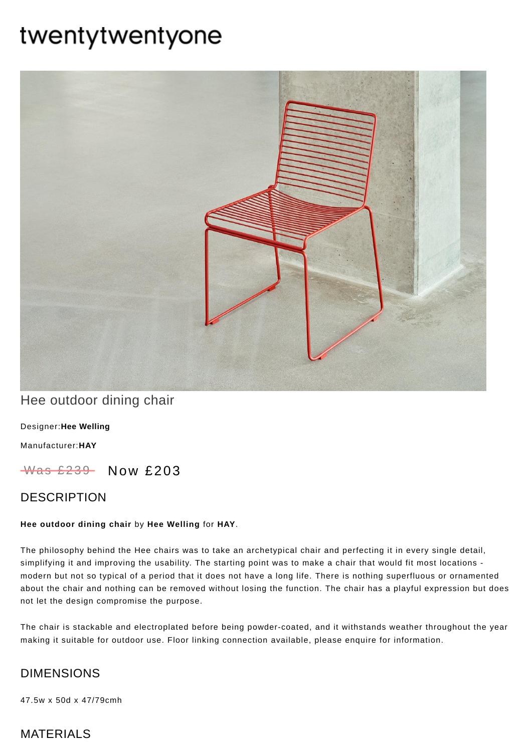# twentytwentyone



# Hee outdoor dining chair

[Designer:](https://www.twentytwentyone.com/collections/designers-hee-welling)**Hee Welling**

[Manufacturer:](https://www.twentytwentyone.com/collections/manufacturers-hay)**HAY**

Was £239 Now £203

## DESCRIPTION

#### **Hee outdoor dining chair** by **Hee [Welling](http://twentytwentyone.com/designer/hee-welling)** for **[HAY](http://twentytwentyone.com/manufacturer/hay)**.

The philosophy behind the Hee chairs was to take an archetypical chair and perfecting it in every single detail, simplifying it and improving the usability. The starting point was to make a chair that would fit most locations modern but not so typical of a period that it does not have a long life. There is nothing superfluous or ornamented about the chair and nothing can be removed without losing the function. The chair has a playful expression but does not let the design compromise the purpose.

The chair is stackable and electroplated before being powder-coated, and it withstands weather throughout the year making it suitable for outdoor use. Floor linking connection available, please enquire for information.

## DIMENSIONS

47.5w x 50d x 47/79cmh

## MATERIALS